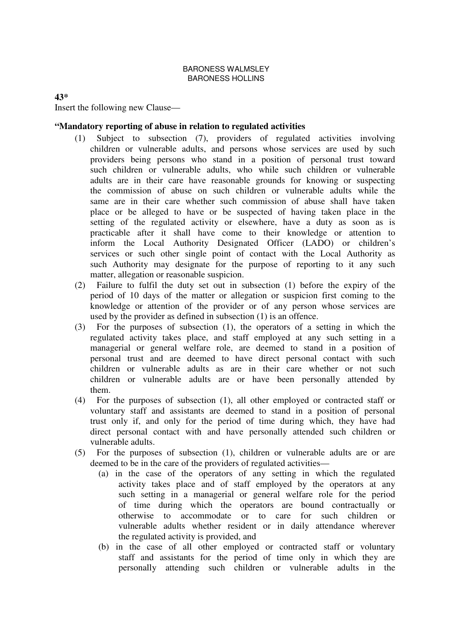## BARONESS WALMSLEY BARONESS HOLLINS

**43\*** Insert the following new Clause—

## **"Mandatory reporting of abuse in relation to regulated activities**

- (1) Subject to subsection (7), providers of regulated activities involving children or vulnerable adults, and persons whose services are used by such providers being persons who stand in a position of personal trust toward such children or vulnerable adults, who while such children or vulnerable adults are in their care have reasonable grounds for knowing or suspecting the commission of abuse on such children or vulnerable adults while the same are in their care whether such commission of abuse shall have taken place or be alleged to have or be suspected of having taken place in the setting of the regulated activity or elsewhere, have a duty as soon as is practicable after it shall have come to their knowledge or attention to inform the Local Authority Designated Officer (LADO) or children's services or such other single point of contact with the Local Authority as such Authority may designate for the purpose of reporting to it any such matter, allegation or reasonable suspicion.
- (2) Failure to fulfil the duty set out in subsection (1) before the expiry of the period of 10 days of the matter or allegation or suspicion first coming to the knowledge or attention of the provider or of any person whose services are used by the provider as defined in subsection (1) is an offence.
- (3) For the purposes of subsection (1), the operators of a setting in which the regulated activity takes place, and staff employed at any such setting in a managerial or general welfare role, are deemed to stand in a position of personal trust and are deemed to have direct personal contact with such children or vulnerable adults as are in their care whether or not such children or vulnerable adults are or have been personally attended by them.
- (4) For the purposes of subsection (1), all other employed or contracted staff or voluntary staff and assistants are deemed to stand in a position of personal trust only if, and only for the period of time during which, they have had direct personal contact with and have personally attended such children or vulnerable adults.
- (5) For the purposes of subsection (1), children or vulnerable adults are or are deemed to be in the care of the providers of regulated activities—
	- (a) in the case of the operators of any setting in which the regulated activity takes place and of staff employed by the operators at any such setting in a managerial or general welfare role for the period of time during which the operators are bound contractually or otherwise to accommodate or to care for such children or vulnerable adults whether resident or in daily attendance wherever the regulated activity is provided, and
	- (b) in the case of all other employed or contracted staff or voluntary staff and assistants for the period of time only in which they are personally attending such children or vulnerable adults in the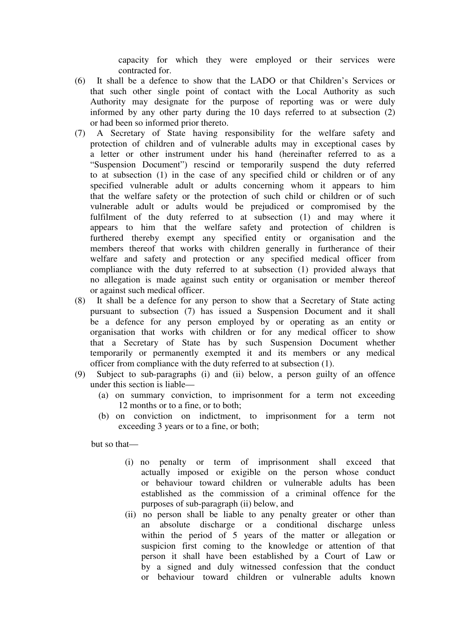capacity for which they were employed or their services were contracted for.

- (6) It shall be a defence to show that the LADO or that Children's Services or that such other single point of contact with the Local Authority as such Authority may designate for the purpose of reporting was or were duly informed by any other party during the 10 days referred to at subsection (2) or had been so informed prior thereto.
- (7) A Secretary of State having responsibility for the welfare safety and protection of children and of vulnerable adults may in exceptional cases by a letter or other instrument under his hand (hereinafter referred to as a "Suspension Document") rescind or temporarily suspend the duty referred to at subsection (1) in the case of any specified child or children or of any specified vulnerable adult or adults concerning whom it appears to him that the welfare safety or the protection of such child or children or of such vulnerable adult or adults would be prejudiced or compromised by the fulfilment of the duty referred to at subsection (1) and may where it appears to him that the welfare safety and protection of children is furthered thereby exempt any specified entity or organisation and the members thereof that works with children generally in furtherance of their welfare and safety and protection or any specified medical officer from compliance with the duty referred to at subsection (1) provided always that no allegation is made against such entity or organisation or member thereof or against such medical officer.
- (8) It shall be a defence for any person to show that a Secretary of State acting pursuant to subsection (7) has issued a Suspension Document and it shall be a defence for any person employed by or operating as an entity or organisation that works with children or for any medical officer to show that a Secretary of State has by such Suspension Document whether temporarily or permanently exempted it and its members or any medical officer from compliance with the duty referred to at subsection (1).
- (9) Subject to sub-paragraphs (i) and (ii) below, a person guilty of an offence under this section is liable—
	- (a) on summary conviction, to imprisonment for a term not exceeding 12 months or to a fine, or to both;
	- (b) on conviction on indictment, to imprisonment for a term not exceeding 3 years or to a fine, or both;

but so that—

- (i) no penalty or term of imprisonment shall exceed that actually imposed or exigible on the person whose conduct or behaviour toward children or vulnerable adults has been established as the commission of a criminal offence for the purposes of sub-paragraph (ii) below, and
- (ii) no person shall be liable to any penalty greater or other than an absolute discharge or a conditional discharge unless within the period of 5 years of the matter or allegation or suspicion first coming to the knowledge or attention of that person it shall have been established by a Court of Law or by a signed and duly witnessed confession that the conduct or behaviour toward children or vulnerable adults known